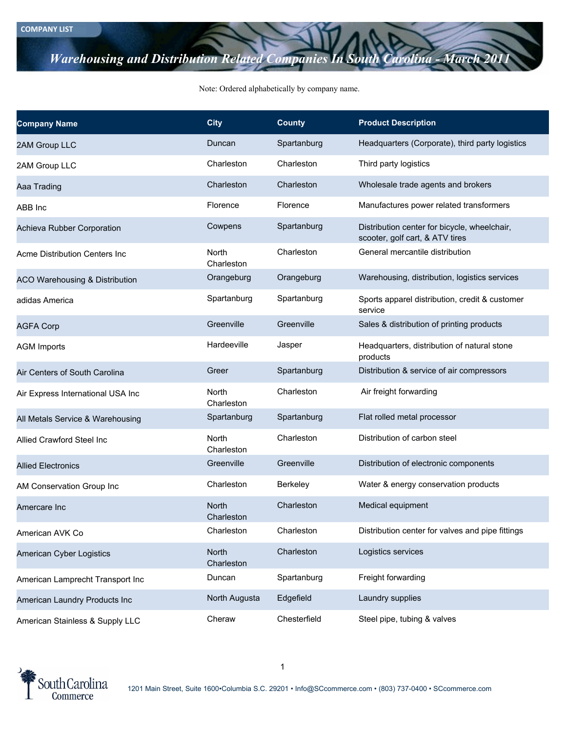## *Warehousing and Distribution Related Companies In South Carolina -*

## Note: Ordered alphabetically by company name.

| <b>Company Name</b>                       | <b>City</b>                | <b>County</b> | <b>Product Description</b>                                                      |
|-------------------------------------------|----------------------------|---------------|---------------------------------------------------------------------------------|
| 2AM Group LLC                             | Duncan                     | Spartanburg   | Headquarters (Corporate), third party logistics                                 |
| 2AM Group LLC                             | Charleston                 | Charleston    | Third party logistics                                                           |
| Aaa Trading                               | Charleston                 | Charleston    | Wholesale trade agents and brokers                                              |
| ABB Inc                                   | Florence                   | Florence      | Manufactures power related transformers                                         |
| Achieva Rubber Corporation                | Cowpens                    | Spartanburg   | Distribution center for bicycle, wheelchair,<br>scooter, golf cart, & ATV tires |
| Acme Distribution Centers Inc             | North<br>Charleston        | Charleston    | General mercantile distribution                                                 |
| <b>ACO Warehousing &amp; Distribution</b> | Orangeburg                 | Orangeburg    | Warehousing, distribution, logistics services                                   |
| adidas America                            | Spartanburg                | Spartanburg   | Sports apparel distribution, credit & customer<br>service                       |
| <b>AGFA Corp</b>                          | Greenville                 | Greenville    | Sales & distribution of printing products                                       |
| <b>AGM Imports</b>                        | Hardeeville                | Jasper        | Headquarters, distribution of natural stone<br>products                         |
| Air Centers of South Carolina             | Greer                      | Spartanburg   | Distribution & service of air compressors                                       |
| Air Express International USA Inc         | North<br>Charleston        | Charleston    | Air freight forwarding                                                          |
| All Metals Service & Warehousing          | Spartanburg                | Spartanburg   | Flat rolled metal processor                                                     |
| Allied Crawford Steel Inc                 | North<br>Charleston        | Charleston    | Distribution of carbon steel                                                    |
| <b>Allied Electronics</b>                 | Greenville                 | Greenville    | Distribution of electronic components                                           |
| AM Conservation Group Inc                 | Charleston                 | Berkeley      | Water & energy conservation products                                            |
| Amercare Inc                              | <b>North</b><br>Charleston | Charleston    | Medical equipment                                                               |
| American AVK Co                           | Charleston                 | Charleston    | Distribution center for valves and pipe fittings                                |
| American Cyber Logistics                  | North<br>Charleston        | Charleston    | Logistics services                                                              |
| American Lamprecht Transport Inc          | Duncan                     | Spartanburg   | Freight forwarding                                                              |
| American Laundry Products Inc             | North Augusta              | Edgefield     | Laundry supplies                                                                |
| American Stainless & Supply LLC           | Cheraw                     | Chesterfield  | Steel pipe, tubing & valves                                                     |

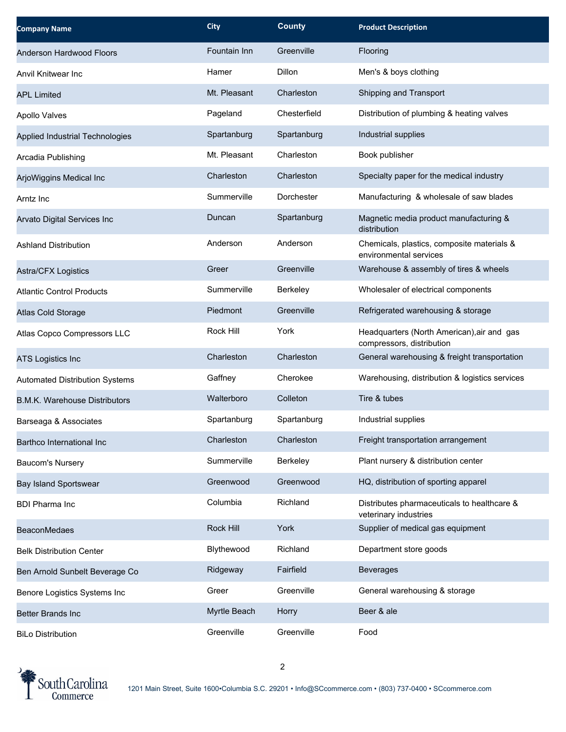| <b>Company Name</b>                   | <b>City</b>  | <b>County</b> | <b>Product Description</b>                                              |
|---------------------------------------|--------------|---------------|-------------------------------------------------------------------------|
| Anderson Hardwood Floors              | Fountain Inn | Greenville    | Flooring                                                                |
| Anvil Knitwear Inc                    | Hamer        | <b>Dillon</b> | Men's & boys clothing                                                   |
| <b>APL Limited</b>                    | Mt. Pleasant | Charleston    | Shipping and Transport                                                  |
| <b>Apollo Valves</b>                  | Pageland     | Chesterfield  | Distribution of plumbing & heating valves                               |
| Applied Industrial Technologies       | Spartanburg  | Spartanburg   | Industrial supplies                                                     |
| Arcadia Publishing                    | Mt. Pleasant | Charleston    | Book publisher                                                          |
| ArjoWiggins Medical Inc               | Charleston   | Charleston    | Specialty paper for the medical industry                                |
| Arntz Inc                             | Summerville  | Dorchester    | Manufacturing & wholesale of saw blades                                 |
| Arvato Digital Services Inc           | Duncan       | Spartanburg   | Magnetic media product manufacturing &<br>distribution                  |
| <b>Ashland Distribution</b>           | Anderson     | Anderson      | Chemicals, plastics, composite materials &<br>environmental services    |
| Astra/CFX Logistics                   | Greer        | Greenville    | Warehouse & assembly of tires & wheels                                  |
| <b>Atlantic Control Products</b>      | Summerville  | Berkeley      | Wholesaler of electrical components                                     |
| Atlas Cold Storage                    | Piedmont     | Greenville    | Refrigerated warehousing & storage                                      |
| Atlas Copco Compressors LLC           | Rock Hill    | York          | Headquarters (North American), air and gas<br>compressors, distribution |
| <b>ATS Logistics Inc</b>              | Charleston   | Charleston    | General warehousing & freight transportation                            |
| <b>Automated Distribution Systems</b> | Gaffney      | Cherokee      | Warehousing, distribution & logistics services                          |
| <b>B.M.K. Warehouse Distributors</b>  | Walterboro   | Colleton      | Tire & tubes                                                            |
| Barseaga & Associates                 | Spartanburg  | Spartanburg   | Industrial supplies                                                     |
| Barthco International Inc             | Charleston   | Charleston    | Freight transportation arrangement                                      |
| Baucom's Nursery                      | Summerville  | Berkeley      | Plant nursery & distribution center                                     |
| <b>Bay Island Sportswear</b>          | Greenwood    | Greenwood     | HQ, distribution of sporting apparel                                    |
| <b>BDI Pharma Inc</b>                 | Columbia     | Richland      | Distributes pharmaceuticals to healthcare &<br>veterinary industries    |
| <b>BeaconMedaes</b>                   | Rock Hill    | York          | Supplier of medical gas equipment                                       |
| <b>Belk Distribution Center</b>       | Blythewood   | Richland      | Department store goods                                                  |
| Ben Arnold Sunbelt Beverage Co        | Ridgeway     | Fairfield     | <b>Beverages</b>                                                        |
| Benore Logistics Systems Inc          | Greer        | Greenville    | General warehousing & storage                                           |
| <b>Better Brands Inc</b>              | Myrtle Beach | Horry         | Beer & ale                                                              |
| <b>BiLo Distribution</b>              | Greenville   | Greenville    | Food                                                                    |

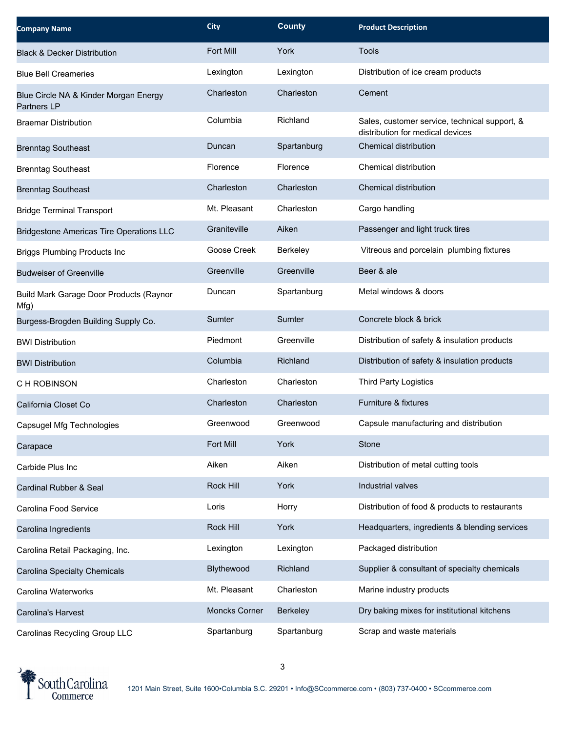| <b>Company Name</b>                                         | <b>City</b>      | <b>County</b> | <b>Product Description</b>                                                        |
|-------------------------------------------------------------|------------------|---------------|-----------------------------------------------------------------------------------|
| <b>Black &amp; Decker Distribution</b>                      | <b>Fort Mill</b> | York          | Tools                                                                             |
| <b>Blue Bell Creameries</b>                                 | Lexington        | Lexington     | Distribution of ice cream products                                                |
| Blue Circle NA & Kinder Morgan Energy<br><b>Partners LP</b> | Charleston       | Charleston    | Cement                                                                            |
| <b>Braemar Distribution</b>                                 | Columbia         | Richland      | Sales, customer service, technical support, &<br>distribution for medical devices |
| <b>Brenntag Southeast</b>                                   | Duncan           | Spartanburg   | Chemical distribution                                                             |
| <b>Brenntag Southeast</b>                                   | Florence         | Florence      | Chemical distribution                                                             |
| <b>Brenntag Southeast</b>                                   | Charleston       | Charleston    | Chemical distribution                                                             |
| <b>Bridge Terminal Transport</b>                            | Mt. Pleasant     | Charleston    | Cargo handling                                                                    |
| <b>Bridgestone Americas Tire Operations LLC</b>             | Graniteville     | Aiken         | Passenger and light truck tires                                                   |
| <b>Briggs Plumbing Products Inc</b>                         | Goose Creek      | Berkeley      | Vitreous and porcelain plumbing fixtures                                          |
| <b>Budweiser of Greenville</b>                              | Greenville       | Greenville    | Beer & ale                                                                        |
| Build Mark Garage Door Products (Raynor<br>Mfg)             | Duncan           | Spartanburg   | Metal windows & doors                                                             |
| Burgess-Brogden Building Supply Co.                         | Sumter           | Sumter        | Concrete block & brick                                                            |
| <b>BWI Distribution</b>                                     | Piedmont         | Greenville    | Distribution of safety & insulation products                                      |
| <b>BWI Distribution</b>                                     | Columbia         | Richland      | Distribution of safety & insulation products                                      |
| C H ROBINSON                                                | Charleston       | Charleston    | Third Party Logistics                                                             |
| California Closet Co                                        | Charleston       | Charleston    | Furniture & fixtures                                                              |
| Capsugel Mfg Technologies                                   | Greenwood        | Greenwood     | Capsule manufacturing and distribution                                            |
| Carapace                                                    | Fort Mill        | York          | Stone                                                                             |
| Carbide Plus Inc                                            | Aiken            | Aiken         | Distribution of metal cutting tools                                               |
| Cardinal Rubber & Seal                                      | Rock Hill        | York          | Industrial valves                                                                 |
| Carolina Food Service                                       | Loris            | Horry         | Distribution of food & products to restaurants                                    |
| Carolina Ingredients                                        | Rock Hill        | York          | Headquarters, ingredients & blending services                                     |
| Carolina Retail Packaging, Inc.                             | Lexington        | Lexington     | Packaged distribution                                                             |
| Carolina Specialty Chemicals                                | Blythewood       | Richland      | Supplier & consultant of specialty chemicals                                      |
| Carolina Waterworks                                         | Mt. Pleasant     | Charleston    | Marine industry products                                                          |
| Carolina's Harvest                                          | Moncks Corner    | Berkeley      | Dry baking mixes for institutional kitchens                                       |
| Carolinas Recycling Group LLC                               | Spartanburg      | Spartanburg   | Scrap and waste materials                                                         |

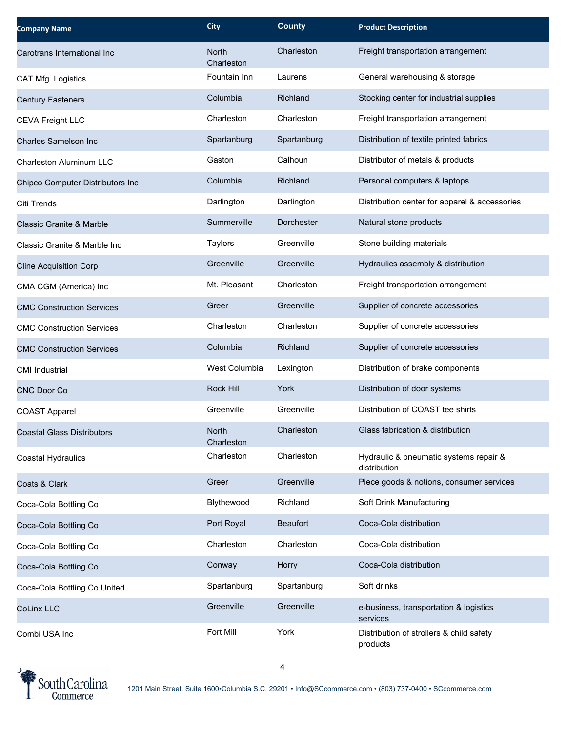| <b>Company Name</b>                 | <b>City</b>                | <b>County</b>   | <b>Product Description</b>                             |
|-------------------------------------|----------------------------|-----------------|--------------------------------------------------------|
| Carotrans International Inc         | <b>North</b><br>Charleston | Charleston      | Freight transportation arrangement                     |
| CAT Mfg. Logistics                  | Fountain Inn               | Laurens         | General warehousing & storage                          |
| <b>Century Fasteners</b>            | Columbia                   | Richland        | Stocking center for industrial supplies                |
| <b>CEVA Freight LLC</b>             | Charleston                 | Charleston      | Freight transportation arrangement                     |
| Charles Samelson Inc.               | Spartanburg                | Spartanburg     | Distribution of textile printed fabrics                |
| Charleston Aluminum LLC             | Gaston                     | Calhoun         | Distributor of metals & products                       |
| Chipco Computer Distributors Inc    | Columbia                   | Richland        | Personal computers & laptops                           |
| Citi Trends                         | Darlington                 | Darlington      | Distribution center for apparel & accessories          |
| <b>Classic Granite &amp; Marble</b> | Summerville                | Dorchester      | Natural stone products                                 |
| Classic Granite & Marble Inc        | Taylors                    | Greenville      | Stone building materials                               |
| <b>Cline Acquisition Corp</b>       | Greenville                 | Greenville      | Hydraulics assembly & distribution                     |
| CMA CGM (America) Inc               | Mt. Pleasant               | Charleston      | Freight transportation arrangement                     |
| <b>CMC Construction Services</b>    | Greer                      | Greenville      | Supplier of concrete accessories                       |
| <b>CMC Construction Services</b>    | Charleston                 | Charleston      | Supplier of concrete accessories                       |
| <b>CMC Construction Services</b>    | Columbia                   | Richland        | Supplier of concrete accessories                       |
| <b>CMI Industrial</b>               | West Columbia              | Lexington       | Distribution of brake components                       |
| <b>CNC Door Co</b>                  | <b>Rock Hill</b>           | York            | Distribution of door systems                           |
| <b>COAST Apparel</b>                | Greenville                 | Greenville      | Distribution of COAST tee shirts                       |
| Coastal Glass Distributors          | North<br>Charleston        | Charleston      | Glass fabrication & distribution                       |
| Coastal Hydraulics                  | Charleston                 | Charleston      | Hydraulic & pneumatic systems repair &<br>distribution |
| Coats & Clark                       | Greer                      | Greenville      | Piece goods & notions, consumer services               |
| Coca-Cola Bottling Co               | Blythewood                 | Richland        | Soft Drink Manufacturing                               |
| Coca-Cola Bottling Co               | Port Royal                 | <b>Beaufort</b> | Coca-Cola distribution                                 |
| Coca-Cola Bottling Co               | Charleston                 | Charleston      | Coca-Cola distribution                                 |
| Coca-Cola Bottling Co               | Conway                     | Horry           | Coca-Cola distribution                                 |
| Coca-Cola Bottling Co United        | Spartanburg                | Spartanburg     | Soft drinks                                            |
| <b>CoLinx LLC</b>                   | Greenville                 | Greenville      | e-business, transportation & logistics<br>services     |
| Combi USA Inc                       | Fort Mill                  | York            | Distribution of strollers & child safety<br>products   |

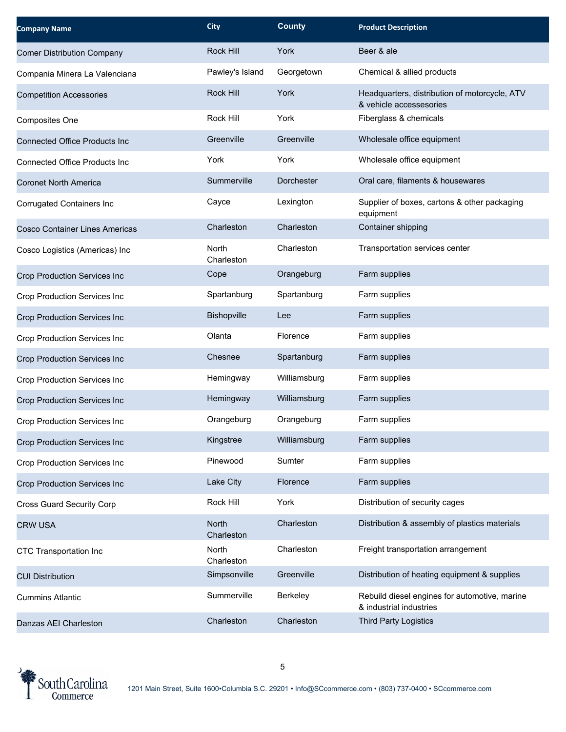| <b>Company Name</b>                   | <b>City</b>         | <b>County</b> | <b>Product Description</b>                                               |
|---------------------------------------|---------------------|---------------|--------------------------------------------------------------------------|
| <b>Comer Distribution Company</b>     | Rock Hill           | York          | Beer & ale                                                               |
| Compania Minera La Valenciana         | Pawley's Island     | Georgetown    | Chemical & allied products                                               |
| <b>Competition Accessories</b>        | <b>Rock Hill</b>    | York          | Headquarters, distribution of motorcycle, ATV<br>& vehicle accessesories |
| Composites One                        | Rock Hill           | York          | Fiberglass & chemicals                                                   |
| <b>Connected Office Products Inc</b>  | Greenville          | Greenville    | Wholesale office equipment                                               |
| <b>Connected Office Products Inc</b>  | York                | York          | Wholesale office equipment                                               |
| <b>Coronet North America</b>          | Summerville         | Dorchester    | Oral care, filaments & housewares                                        |
| <b>Corrugated Containers Inc</b>      | Cayce               | Lexington     | Supplier of boxes, cartons & other packaging<br>equipment                |
| <b>Cosco Container Lines Americas</b> | Charleston          | Charleston    | Container shipping                                                       |
| Cosco Logistics (Americas) Inc        | North<br>Charleston | Charleston    | Transportation services center                                           |
| Crop Production Services Inc          | Cope                | Orangeburg    | Farm supplies                                                            |
| Crop Production Services Inc          | Spartanburg         | Spartanburg   | Farm supplies                                                            |
| Crop Production Services Inc          | Bishopville         | Lee           | Farm supplies                                                            |
| Crop Production Services Inc          | Olanta              | Florence      | Farm supplies                                                            |
| Crop Production Services Inc          | Chesnee             | Spartanburg   | Farm supplies                                                            |
| Crop Production Services Inc          | Hemingway           | Williamsburg  | Farm supplies                                                            |
| <b>Crop Production Services Inc</b>   | Hemingway           | Williamsburg  | Farm supplies                                                            |
| Crop Production Services Inc          | Orangeburg          | Orangeburg    | Farm supplies                                                            |
| Crop Production Services Inc          | Kingstree           | Williamsburg  | Farm supplies                                                            |
| Crop Production Services Inc          | Pinewood            | Sumter        | Farm supplies                                                            |
| Crop Production Services Inc          | Lake City           | Florence      | Farm supplies                                                            |
| <b>Cross Guard Security Corp</b>      | Rock Hill           | York          | Distribution of security cages                                           |
| <b>CRW USA</b>                        | North<br>Charleston | Charleston    | Distribution & assembly of plastics materials                            |
| CTC Transportation Inc                | North<br>Charleston | Charleston    | Freight transportation arrangement                                       |
| <b>CUI Distribution</b>               | Simpsonville        | Greenville    | Distribution of heating equipment & supplies                             |
| <b>Cummins Atlantic</b>               | Summerville         | Berkeley      | Rebuild diesel engines for automotive, marine<br>& industrial industries |
| Danzas AEI Charleston                 | Charleston          | Charleston    | <b>Third Party Logistics</b>                                             |

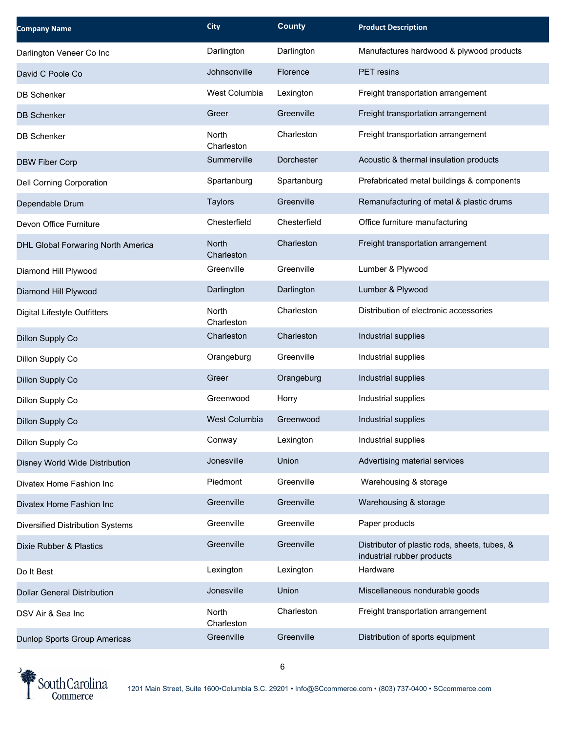| <b>Company Name</b>                 | <b>City</b>                | <b>County</b> | <b>Product Description</b>                                                  |
|-------------------------------------|----------------------------|---------------|-----------------------------------------------------------------------------|
| Darlington Veneer Co Inc            | Darlington                 | Darlington    | Manufactures hardwood & plywood products                                    |
| David C Poole Co                    | Johnsonville               | Florence      | PET resins                                                                  |
| <b>DB Schenker</b>                  | West Columbia              | Lexington     | Freight transportation arrangement                                          |
| <b>DB Schenker</b>                  | Greer                      | Greenville    | Freight transportation arrangement                                          |
| <b>DB Schenker</b>                  | North<br>Charleston        | Charleston    | Freight transportation arrangement                                          |
| <b>DBW Fiber Corp</b>               | Summerville                | Dorchester    | Acoustic & thermal insulation products                                      |
| <b>Dell Corning Corporation</b>     | Spartanburg                | Spartanburg   | Prefabricated metal buildings & components                                  |
| Dependable Drum                     | Taylors                    | Greenville    | Remanufacturing of metal & plastic drums                                    |
| Devon Office Furniture              | Chesterfield               | Chesterfield  | Office furniture manufacturing                                              |
| DHL Global Forwaring North America  | <b>North</b><br>Charleston | Charleston    | Freight transportation arrangement                                          |
| Diamond Hill Plywood                | Greenville                 | Greenville    | Lumber & Plywood                                                            |
| Diamond Hill Plywood                | Darlington                 | Darlington    | Lumber & Plywood                                                            |
| <b>Digital Lifestyle Outfitters</b> | <b>North</b><br>Charleston | Charleston    | Distribution of electronic accessories                                      |
| Dillon Supply Co                    | Charleston                 | Charleston    | Industrial supplies                                                         |
| Dillon Supply Co                    | Orangeburg                 | Greenville    | Industrial supplies                                                         |
| Dillon Supply Co                    | Greer                      | Orangeburg    | Industrial supplies                                                         |
| Dillon Supply Co                    | Greenwood                  | Horry         | Industrial supplies                                                         |
| Dillon Supply Co                    | <b>West Columbia</b>       | Greenwood     | Industrial supplies                                                         |
| Dillon Supply Co                    | Conway                     | Lexington     | Industrial supplies                                                         |
| Disney World Wide Distribution      | Jonesville                 | Union         | Advertising material services                                               |
| Divatex Home Fashion Inc            | Piedmont                   | Greenville    | Warehousing & storage                                                       |
| Divatex Home Fashion Inc            | Greenville                 | Greenville    | Warehousing & storage                                                       |
| Diversified Distribution Systems    | Greenville                 | Greenville    | Paper products                                                              |
| Dixie Rubber & Plastics             | Greenville                 | Greenville    | Distributor of plastic rods, sheets, tubes, &<br>industrial rubber products |
| Do It Best                          | Lexington                  | Lexington     | Hardware                                                                    |
| <b>Dollar General Distribution</b>  | Jonesville                 | Union         | Miscellaneous nondurable goods                                              |
| DSV Air & Sea Inc                   | North<br>Charleston        | Charleston    | Freight transportation arrangement                                          |
| Dunlop Sports Group Americas        | Greenville                 | Greenville    | Distribution of sports equipment                                            |

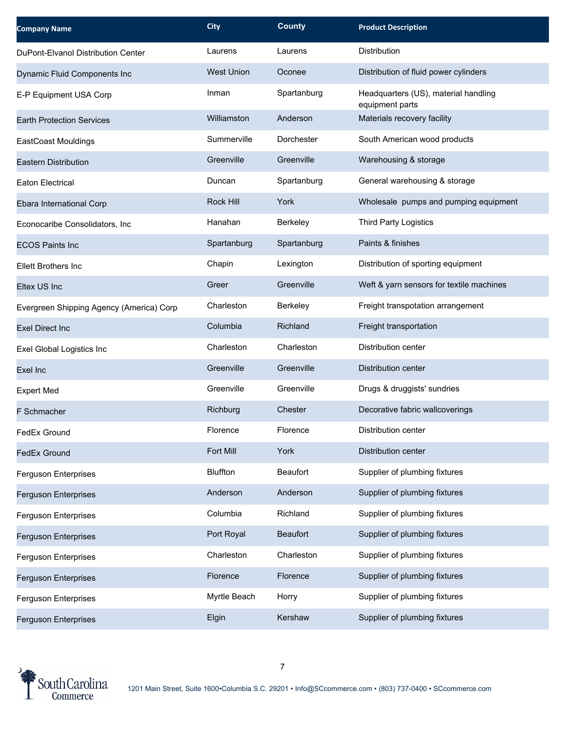| <b>Company Name</b>                      | <b>City</b>       | <b>County</b>   | <b>Product Description</b>                              |
|------------------------------------------|-------------------|-----------------|---------------------------------------------------------|
| DuPont-Elvanol Distribution Center       | Laurens           | Laurens         | Distribution                                            |
| Dynamic Fluid Components Inc             | <b>West Union</b> | Oconee          | Distribution of fluid power cylinders                   |
| E-P Equipment USA Corp                   | Inman             | Spartanburg     | Headquarters (US), material handling<br>equipment parts |
| <b>Earth Protection Services</b>         | Williamston       | Anderson        | Materials recovery facility                             |
| <b>EastCoast Mouldings</b>               | Summerville       | Dorchester      | South American wood products                            |
| <b>Eastern Distribution</b>              | Greenville        | Greenville      | Warehousing & storage                                   |
| Eaton Electrical                         | Duncan            | Spartanburg     | General warehousing & storage                           |
| Ebara International Corp                 | Rock Hill         | York            | Wholesale pumps and pumping equipment                   |
| Econocaribe Consolidators, Inc           | Hanahan           | Berkeley        | <b>Third Party Logistics</b>                            |
| <b>ECOS Paints Inc</b>                   | Spartanburg       | Spartanburg     | Paints & finishes                                       |
| Ellett Brothers Inc                      | Chapin            | Lexington       | Distribution of sporting equipment                      |
| Eltex US Inc                             | Greer             | Greenville      | Weft & yarn sensors for textile machines                |
| Evergreen Shipping Agency (America) Corp | Charleston        | Berkeley        | Freight transpotation arrangement                       |
| <b>Exel Direct Inc</b>                   | Columbia          | Richland        | Freight transportation                                  |
| Exel Global Logistics Inc                | Charleston        | Charleston      | Distribution center                                     |
| Exel Inc                                 | Greenville        | Greenville      | Distribution center                                     |
| <b>Expert Med</b>                        | Greenville        | Greenville      | Drugs & druggists' sundries                             |
| <b>F</b> Schmacher                       | Richburg          | Chester         | Decorative fabric wallcoverings                         |
| FedEx Ground                             | Florence          | Florence        | Distribution center                                     |
| <b>FedEx Ground</b>                      | Fort Mill         | York            | Distribution center                                     |
| Ferguson Enterprises                     | <b>Bluffton</b>   | Beaufort        | Supplier of plumbing fixtures                           |
| Ferguson Enterprises                     | Anderson          | Anderson        | Supplier of plumbing fixtures                           |
| Ferguson Enterprises                     | Columbia          | Richland        | Supplier of plumbing fixtures                           |
| Ferguson Enterprises                     | Port Royal        | <b>Beaufort</b> | Supplier of plumbing fixtures                           |
| Ferguson Enterprises                     | Charleston        | Charleston      | Supplier of plumbing fixtures                           |
| Ferguson Enterprises                     | Florence          | Florence        | Supplier of plumbing fixtures                           |
| Ferguson Enterprises                     | Myrtle Beach      | Horry           | Supplier of plumbing fixtures                           |
| <b>Ferguson Enterprises</b>              | Elgin             | Kershaw         | Supplier of plumbing fixtures                           |

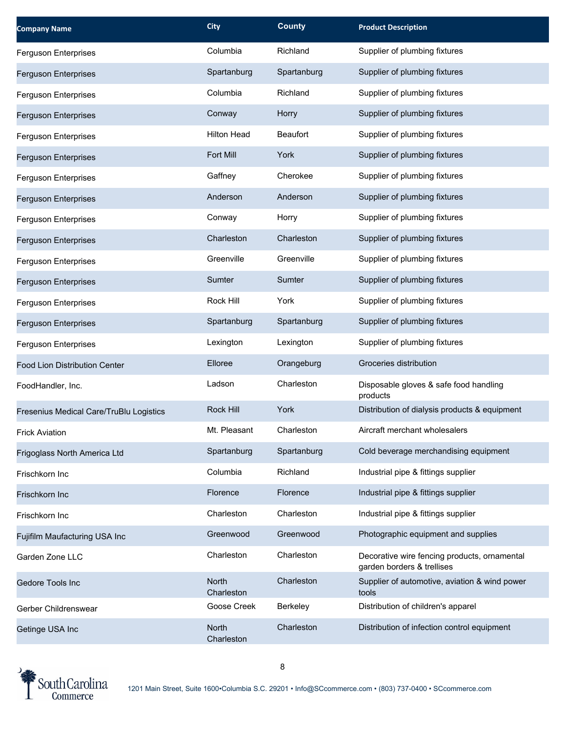| <b>Company Name</b>                     | <b>City</b>         | <b>County</b>   | <b>Product Description</b>                                                 |
|-----------------------------------------|---------------------|-----------------|----------------------------------------------------------------------------|
| Ferguson Enterprises                    | Columbia            | Richland        | Supplier of plumbing fixtures                                              |
| Ferguson Enterprises                    | Spartanburg         | Spartanburg     | Supplier of plumbing fixtures                                              |
| Ferguson Enterprises                    | Columbia            | Richland        | Supplier of plumbing fixtures                                              |
| Ferguson Enterprises                    | Conway              | Horry           | Supplier of plumbing fixtures                                              |
| Ferguson Enterprises                    | <b>Hilton Head</b>  | <b>Beaufort</b> | Supplier of plumbing fixtures                                              |
| Ferguson Enterprises                    | Fort Mill           | York            | Supplier of plumbing fixtures                                              |
| Ferguson Enterprises                    | Gaffney             | Cherokee        | Supplier of plumbing fixtures                                              |
| Ferguson Enterprises                    | Anderson            | Anderson        | Supplier of plumbing fixtures                                              |
| Ferguson Enterprises                    | Conway              | Horry           | Supplier of plumbing fixtures                                              |
| Ferguson Enterprises                    | Charleston          | Charleston      | Supplier of plumbing fixtures                                              |
| <b>Ferguson Enterprises</b>             | Greenville          | Greenville      | Supplier of plumbing fixtures                                              |
| Ferguson Enterprises                    | Sumter              | Sumter          | Supplier of plumbing fixtures                                              |
| Ferguson Enterprises                    | Rock Hill           | York            | Supplier of plumbing fixtures                                              |
| Ferguson Enterprises                    | Spartanburg         | Spartanburg     | Supplier of plumbing fixtures                                              |
| Ferguson Enterprises                    | Lexington           | Lexington       | Supplier of plumbing fixtures                                              |
| Food Lion Distribution Center           | Elloree             | Orangeburg      | Groceries distribution                                                     |
| FoodHandler, Inc.                       | Ladson              | Charleston      | Disposable gloves & safe food handling<br>products                         |
| Fresenius Medical Care/TruBlu Logistics | Rock Hill           | York            | Distribution of dialysis products & equipment                              |
| <b>Frick Aviation</b>                   | Mt. Pleasant        | Charleston      | Aircraft merchant wholesalers                                              |
| Frigoglass North America Ltd            | Spartanburg         | Spartanburg     | Cold beverage merchandising equipment                                      |
| Frischkorn Inc                          | Columbia            | Richland        | Industrial pipe & fittings supplier                                        |
| Frischkorn Inc                          | Florence            | Florence        | Industrial pipe & fittings supplier                                        |
| Frischkorn Inc                          | Charleston          | Charleston      | Industrial pipe & fittings supplier                                        |
| Fujifilm Maufacturing USA Inc           | Greenwood           | Greenwood       | Photographic equipment and supplies                                        |
| Garden Zone LLC                         | Charleston          | Charleston      | Decorative wire fencing products, ornamental<br>garden borders & trellises |
| Gedore Tools Inc                        | North<br>Charleston | Charleston      | Supplier of automotive, aviation & wind power<br>tools                     |
| Gerber Childrenswear                    | Goose Creek         | Berkeley        | Distribution of children's apparel                                         |
| Getinge USA Inc                         | North<br>Charleston | Charleston      | Distribution of infection control equipment                                |

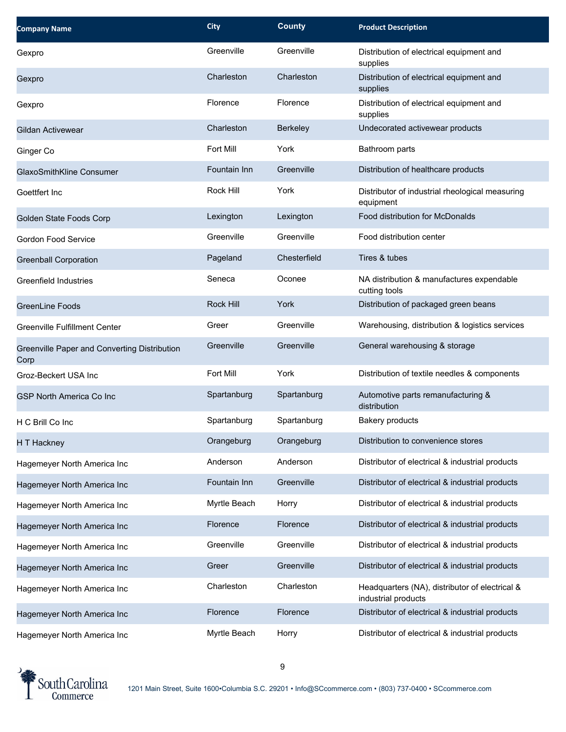| <b>Company Name</b>                                  | <b>City</b>      | <b>County</b> | <b>Product Description</b>                                            |
|------------------------------------------------------|------------------|---------------|-----------------------------------------------------------------------|
| Gexpro                                               | Greenville       | Greenville    | Distribution of electrical equipment and<br>supplies                  |
| Gexpro                                               | Charleston       | Charleston    | Distribution of electrical equipment and<br>supplies                  |
| Gexpro                                               | Florence         | Florence      | Distribution of electrical equipment and<br>supplies                  |
| Gildan Activewear                                    | Charleston       | Berkeley      | Undecorated activewear products                                       |
| Ginger Co                                            | Fort Mill        | York          | Bathroom parts                                                        |
| GlaxoSmithKline Consumer                             | Fountain Inn     | Greenville    | Distribution of healthcare products                                   |
| Goettfert Inc                                        | Rock Hill        | York          | Distributor of industrial rheological measuring<br>equipment          |
| Golden State Foods Corp                              | Lexington        | Lexington     | Food distribution for McDonalds                                       |
| <b>Gordon Food Service</b>                           | Greenville       | Greenville    | Food distribution center                                              |
| <b>Greenball Corporation</b>                         | Pageland         | Chesterfield  | Tires & tubes                                                         |
| Greenfield Industries                                | Seneca           | Oconee        | NA distribution & manufactures expendable<br>cutting tools            |
| <b>GreenLine Foods</b>                               | <b>Rock Hill</b> | York          | Distribution of packaged green beans                                  |
| <b>Greenville Fulfillment Center</b>                 | Greer            | Greenville    | Warehousing, distribution & logistics services                        |
| Greenville Paper and Converting Distribution<br>Corp | Greenville       | Greenville    | General warehousing & storage                                         |
| Groz-Beckert USA Inc                                 | Fort Mill        | York          | Distribution of textile needles & components                          |
| <b>GSP North America Co Inc</b>                      | Spartanburg      | Spartanburg   | Automotive parts remanufacturing &<br>distribution                    |
| H C Brill Co Inc                                     | Spartanburg      | Spartanburg   | <b>Bakery products</b>                                                |
| H T Hackney                                          | Orangeburg       | Orangeburg    | Distribution to convenience stores                                    |
| Hagemeyer North America Inc                          | Anderson         | Anderson      | Distributor of electrical & industrial products                       |
| Hagemeyer North America Inc                          | Fountain Inn     | Greenville    | Distributor of electrical & industrial products                       |
| Hagemeyer North America Inc                          | Myrtle Beach     | Horry         | Distributor of electrical & industrial products                       |
| Hagemeyer North America Inc                          | Florence         | Florence      | Distributor of electrical & industrial products                       |
| Hagemeyer North America Inc                          | Greenville       | Greenville    | Distributor of electrical & industrial products                       |
| Hagemeyer North America Inc                          | Greer            | Greenville    | Distributor of electrical & industrial products                       |
| Hagemeyer North America Inc                          | Charleston       | Charleston    | Headquarters (NA), distributor of electrical &<br>industrial products |
| Hagemeyer North America Inc                          | Florence         | Florence      | Distributor of electrical & industrial products                       |
| Hagemeyer North America Inc                          | Myrtle Beach     | Horry         | Distributor of electrical & industrial products                       |

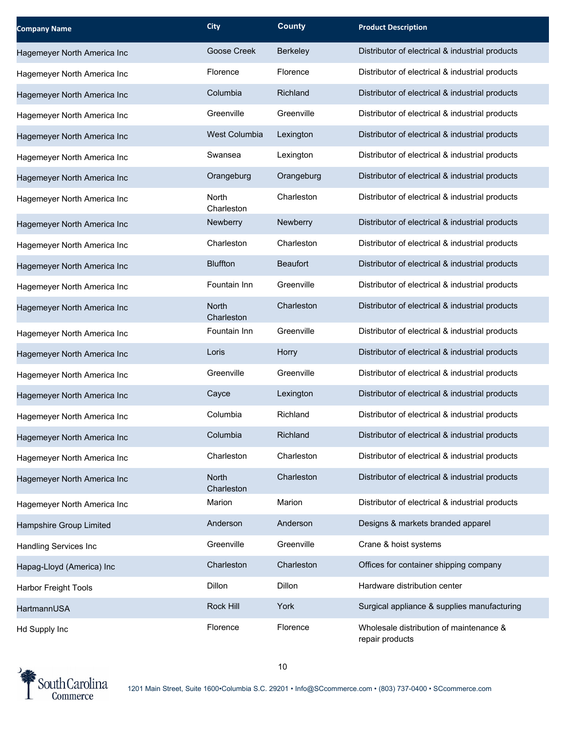| <b>Company Name</b>          | <b>City</b>                | <b>County</b>   | <b>Product Description</b>                                 |
|------------------------------|----------------------------|-----------------|------------------------------------------------------------|
| Hagemeyer North America Inc  | Goose Creek                | Berkeley        | Distributor of electrical & industrial products            |
| Hagemeyer North America Inc  | Florence                   | Florence        | Distributor of electrical & industrial products            |
| Hagemeyer North America Inc  | Columbia                   | Richland        | Distributor of electrical & industrial products            |
| Hagemeyer North America Inc  | Greenville                 | Greenville      | Distributor of electrical & industrial products            |
| Hagemeyer North America Inc  | <b>West Columbia</b>       | Lexington       | Distributor of electrical & industrial products            |
| Hagemeyer North America Inc  | Swansea                    | Lexington       | Distributor of electrical & industrial products            |
| Hagemeyer North America Inc  | Orangeburg                 | Orangeburg      | Distributor of electrical & industrial products            |
| Hagemeyer North America Inc  | North<br>Charleston        | Charleston      | Distributor of electrical & industrial products            |
| Hagemeyer North America Inc  | Newberry                   | Newberry        | Distributor of electrical & industrial products            |
| Hagemeyer North America Inc  | Charleston                 | Charleston      | Distributor of electrical & industrial products            |
| Hagemeyer North America Inc  | <b>Bluffton</b>            | <b>Beaufort</b> | Distributor of electrical & industrial products            |
| Hagemeyer North America Inc  | Fountain Inn               | Greenville      | Distributor of electrical & industrial products            |
| Hagemeyer North America Inc  | <b>North</b><br>Charleston | Charleston      | Distributor of electrical & industrial products            |
| Hagemeyer North America Inc  | Fountain Inn               | Greenville      | Distributor of electrical & industrial products            |
| Hagemeyer North America Inc  | Loris                      | Horry           | Distributor of electrical & industrial products            |
| Hagemeyer North America Inc  | Greenville                 | Greenville      | Distributor of electrical & industrial products            |
| Hagemeyer North America Inc  | Cayce                      | Lexington       | Distributor of electrical & industrial products            |
| Hagemeyer North America Inc  | Columbia                   | Richland        | Distributor of electrical & industrial products            |
| Hagemeyer North America Inc  | Columbia                   | Richland        | Distributor of electrical & industrial products            |
| Hagemeyer North America Inc  | Charleston                 | Charleston      | Distributor of electrical & industrial products            |
| Hagemeyer North America Inc  | North<br>Charleston        | Charleston      | Distributor of electrical & industrial products            |
| Hagemeyer North America Inc  | Marion                     | Marion          | Distributor of electrical & industrial products            |
| Hampshire Group Limited      | Anderson                   | Anderson        | Designs & markets branded apparel                          |
| <b>Handling Services Inc</b> | Greenville                 | Greenville      | Crane & hoist systems                                      |
| Hapag-Lloyd (America) Inc    | Charleston                 | Charleston      | Offices for container shipping company                     |
| Harbor Freight Tools         | Dillon                     | Dillon          | Hardware distribution center                               |
| HartmannUSA                  | Rock Hill                  | York            | Surgical appliance & supplies manufacturing                |
| Hd Supply Inc                | Florence                   | Florence        | Wholesale distribution of maintenance &<br>repair products |

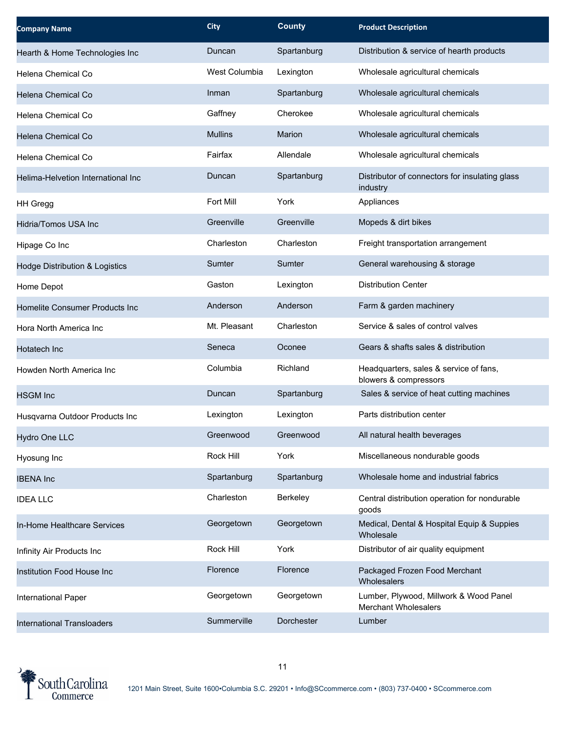| <b>Company Name</b>                       | <b>City</b>    | <b>County</b> | <b>Product Description</b>                                            |
|-------------------------------------------|----------------|---------------|-----------------------------------------------------------------------|
| Hearth & Home Technologies Inc            | Duncan         | Spartanburg   | Distribution & service of hearth products                             |
| Helena Chemical Co                        | West Columbia  | Lexington     | Wholesale agricultural chemicals                                      |
| Helena Chemical Co                        | Inman          | Spartanburg   | Wholesale agricultural chemicals                                      |
| Helena Chemical Co                        | Gaffney        | Cherokee      | Wholesale agricultural chemicals                                      |
| Helena Chemical Co                        | <b>Mullins</b> | <b>Marion</b> | Wholesale agricultural chemicals                                      |
| Helena Chemical Co                        | Fairfax        | Allendale     | Wholesale agricultural chemicals                                      |
| Helima-Helvetion International Inc        | Duncan         | Spartanburg   | Distributor of connectors for insulating glass<br>industry            |
| <b>HH Gregg</b>                           | Fort Mill      | York          | Appliances                                                            |
| Hidria/Tomos USA Inc                      | Greenville     | Greenville    | Mopeds & dirt bikes                                                   |
| Hipage Co Inc                             | Charleston     | Charleston    | Freight transportation arrangement                                    |
| <b>Hodge Distribution &amp; Logistics</b> | Sumter         | Sumter        | General warehousing & storage                                         |
| Home Depot                                | Gaston         | Lexington     | <b>Distribution Center</b>                                            |
| Homelite Consumer Products Inc            | Anderson       | Anderson      | Farm & garden machinery                                               |
| Hora North America Inc                    | Mt. Pleasant   | Charleston    | Service & sales of control valves                                     |
| Hotatech Inc                              | Seneca         | Oconee        | Gears & shafts sales & distribution                                   |
| Howden North America Inc                  | Columbia       | Richland      | Headquarters, sales & service of fans,<br>blowers & compressors       |
| <b>HSGM</b> Inc                           | Duncan         | Spartanburg   | Sales & service of heat cutting machines                              |
| Husqvarna Outdoor Products Inc            | Lexington      | Lexington     | Parts distribution center                                             |
| Hydro One LLC                             | Greenwood      | Greenwood     | All natural health beverages                                          |
| Hyosung Inc                               | Rock Hill      | York          | Miscellaneous nondurable goods                                        |
| <b>IBENA Inc</b>                          | Spartanburg    | Spartanburg   | Wholesale home and industrial fabrics                                 |
| <b>IDEA LLC</b>                           | Charleston     | Berkeley      | Central distribution operation for nondurable<br>goods                |
| In-Home Healthcare Services               | Georgetown     | Georgetown    | Medical, Dental & Hospital Equip & Suppies<br>Wholesale               |
| Infinity Air Products Inc                 | Rock Hill      | York          | Distributor of air quality equipment                                  |
| Institution Food House Inc                | Florence       | Florence      | Packaged Frozen Food Merchant<br>Wholesalers                          |
| International Paper                       | Georgetown     | Georgetown    | Lumber, Plywood, Millwork & Wood Panel<br><b>Merchant Wholesalers</b> |
| <b>International Transloaders</b>         | Summerville    | Dorchester    | Lumber                                                                |

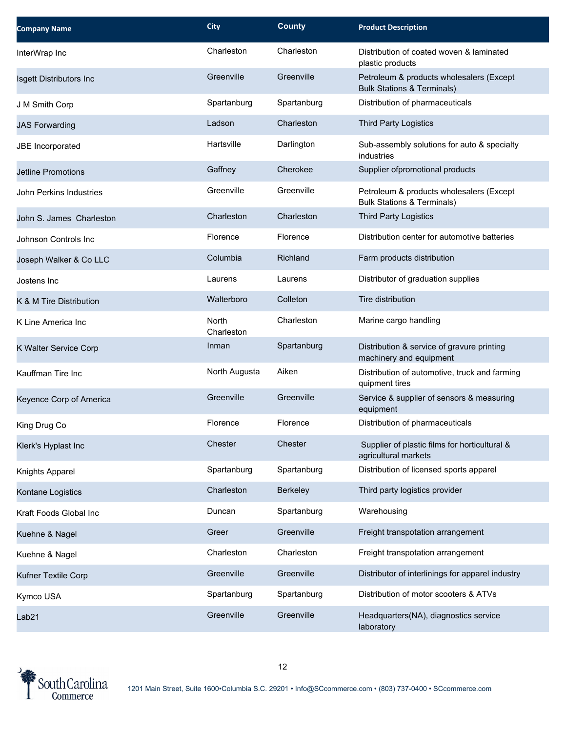| <b>Company Name</b>       | <b>City</b>         | <b>County</b> | <b>Product Description</b>                                                        |
|---------------------------|---------------------|---------------|-----------------------------------------------------------------------------------|
| InterWrap Inc             | Charleston          | Charleston    | Distribution of coated woven & laminated<br>plastic products                      |
| Isgett Distributors Inc   | Greenville          | Greenville    | Petroleum & products wholesalers (Except<br><b>Bulk Stations &amp; Terminals)</b> |
| J M Smith Corp            | Spartanburg         | Spartanburg   | Distribution of pharmaceuticals                                                   |
| <b>JAS Forwarding</b>     | Ladson              | Charleston    | <b>Third Party Logistics</b>                                                      |
| JBE Incorporated          | Hartsville          | Darlington    | Sub-assembly solutions for auto & specialty<br>industries                         |
| <b>Jetline Promotions</b> | Gaffney             | Cherokee      | Supplier ofpromotional products                                                   |
| John Perkins Industries   | Greenville          | Greenville    | Petroleum & products wholesalers (Except<br><b>Bulk Stations &amp; Terminals)</b> |
| John S. James Charleston  | Charleston          | Charleston    | <b>Third Party Logistics</b>                                                      |
| Johnson Controls Inc      | Florence            | Florence      | Distribution center for automotive batteries                                      |
| Joseph Walker & Co LLC    | Columbia            | Richland      | Farm products distribution                                                        |
| Jostens Inc               | Laurens             | Laurens       | Distributor of graduation supplies                                                |
| K & M Tire Distribution   | Walterboro          | Colleton      | Tire distribution                                                                 |
| K Line America Inc        | North<br>Charleston | Charleston    | Marine cargo handling                                                             |
| K Walter Service Corp     | Inman               | Spartanburg   | Distribution & service of gravure printing<br>machinery and equipment             |
| Kauffman Tire Inc         | North Augusta       | Aiken         | Distribution of automotive, truck and farming<br>quipment tires                   |
| Keyence Corp of America   | Greenville          | Greenville    | Service & supplier of sensors & measuring<br>equipment                            |
| King Drug Co              | Florence            | Florence      | Distribution of pharmaceuticals                                                   |
| Klerk's Hyplast Inc       | Chester             | Chester       | Supplier of plastic films for horticultural &<br>agricultural markets             |
| Knights Apparel           | Spartanburg         | Spartanburg   | Distribution of licensed sports apparel                                           |
| Kontane Logistics         | Charleston          | Berkeley      | Third party logistics provider                                                    |
| Kraft Foods Global Inc    | Duncan              | Spartanburg   | Warehousing                                                                       |
| Kuehne & Nagel            | Greer               | Greenville    | Freight transpotation arrangement                                                 |
| Kuehne & Nagel            | Charleston          | Charleston    | Freight transpotation arrangement                                                 |
| Kufner Textile Corp       | Greenville          | Greenville    | Distributor of interlinings for apparel industry                                  |
| Kymco USA                 | Spartanburg         | Spartanburg   | Distribution of motor scooters & ATVs                                             |
| Lab21                     | Greenville          | Greenville    | Headquarters(NA), diagnostics service<br>laboratory                               |

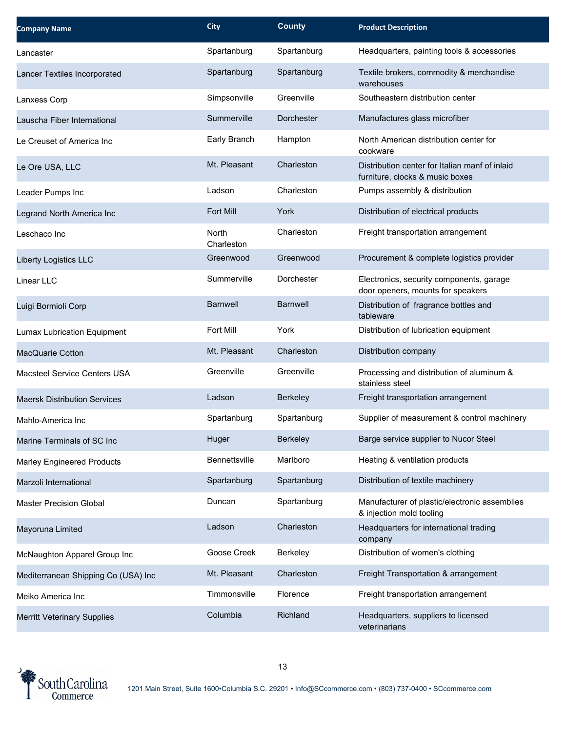| <b>Company Name</b>                 | <b>City</b>         | <b>County</b>   | <b>Product Description</b>                                                        |
|-------------------------------------|---------------------|-----------------|-----------------------------------------------------------------------------------|
| Lancaster                           | Spartanburg         | Spartanburg     | Headquarters, painting tools & accessories                                        |
| Lancer Textiles Incorporated        | Spartanburg         | Spartanburg     | Textile brokers, commodity & merchandise<br>warehouses                            |
| Lanxess Corp                        | Simpsonville        | Greenville      | Southeastern distribution center                                                  |
| Lauscha Fiber International         | Summerville         | Dorchester      | Manufactures glass microfiber                                                     |
| Le Creuset of America Inc           | Early Branch        | Hampton         | North American distribution center for<br>cookware                                |
| Le Ore USA, LLC                     | Mt. Pleasant        | Charleston      | Distribution center for Italian manf of inlaid<br>furniture, clocks & music boxes |
| Leader Pumps Inc                    | Ladson              | Charleston      | Pumps assembly & distribution                                                     |
| Legrand North America Inc           | <b>Fort Mill</b>    | York            | Distribution of electrical products                                               |
| Leschaco Inc                        | North<br>Charleston | Charleston      | Freight transportation arrangement                                                |
| <b>Liberty Logistics LLC</b>        | Greenwood           | Greenwood       | Procurement & complete logistics provider                                         |
| Linear LLC                          | Summerville         | Dorchester      | Electronics, security components, garage<br>door openers, mounts for speakers     |
| Luigi Bormioli Corp                 | <b>Barnwell</b>     | <b>Barnwell</b> | Distribution of fragrance bottles and<br>tableware                                |
| Lumax Lubrication Equipment         | Fort Mill           | York            | Distribution of lubrication equipment                                             |
| MacQuarie Cotton                    | Mt. Pleasant        | Charleston      | Distribution company                                                              |
| <b>Macsteel Service Centers USA</b> | Greenville          | Greenville      | Processing and distribution of aluminum &<br>stainless steel                      |
| <b>Maersk Distribution Services</b> | Ladson              | Berkeley        | Freight transportation arrangement                                                |
| Mahlo-America Inc                   | Spartanburg         | Spartanburg     | Supplier of measurement & control machinery                                       |
| Marine Terminals of SC Inc          | Huger               | <b>Berkeley</b> | Barge service supplier to Nucor Steel                                             |
| <b>Marley Engineered Products</b>   | Bennettsville       | Marlboro        | Heating & ventilation products                                                    |
| Marzoli International               | Spartanburg         | Spartanburg     | Distribution of textile machinery                                                 |
| <b>Master Precision Global</b>      | Duncan              | Spartanburg     | Manufacturer of plastic/electronic assemblies<br>& injection mold tooling         |
| Mayoruna Limited                    | Ladson              | Charleston      | Headquarters for international trading<br>company                                 |
| McNaughton Apparel Group Inc        | Goose Creek         | Berkeley        | Distribution of women's clothing                                                  |
| Mediterranean Shipping Co (USA) Inc | Mt. Pleasant        | Charleston      | Freight Transportation & arrangement                                              |
| Meiko America Inc                   | Timmonsville        | Florence        | Freight transportation arrangement                                                |
| <b>Merritt Veterinary Supplies</b>  | Columbia            | Richland        | Headquarters, suppliers to licensed<br>veterinarians                              |

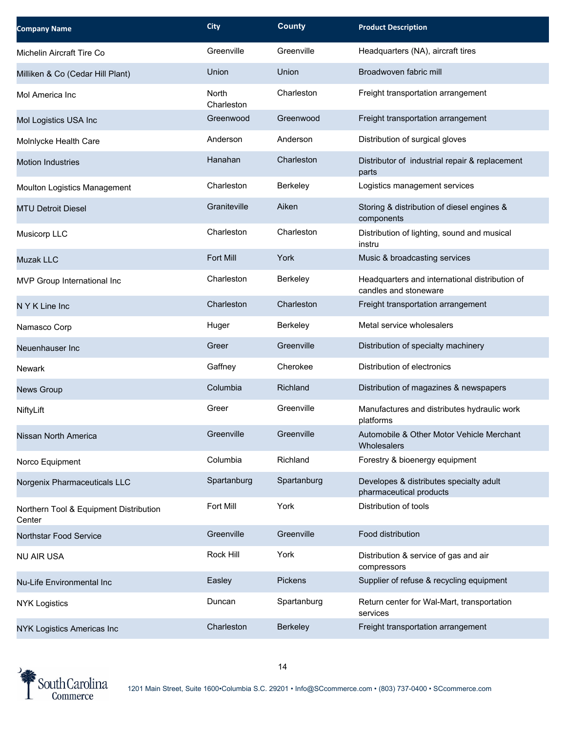| <b>Company Name</b>                              | <b>City</b>         | <b>County</b> | <b>Product Description</b>                                              |
|--------------------------------------------------|---------------------|---------------|-------------------------------------------------------------------------|
| Michelin Aircraft Tire Co                        | Greenville          | Greenville    | Headquarters (NA), aircraft tires                                       |
| Milliken & Co (Cedar Hill Plant)                 | Union               | Union         | Broadwoven fabric mill                                                  |
| Mol America Inc                                  | North<br>Charleston | Charleston    | Freight transportation arrangement                                      |
| Mol Logistics USA Inc                            | Greenwood           | Greenwood     | Freight transportation arrangement                                      |
| Molnlycke Health Care                            | Anderson            | Anderson      | Distribution of surgical gloves                                         |
| <b>Motion Industries</b>                         | Hanahan             | Charleston    | Distributor of industrial repair & replacement<br>parts                 |
| Moulton Logistics Management                     | Charleston          | Berkeley      | Logistics management services                                           |
| <b>MTU Detroit Diesel</b>                        | Graniteville        | Aiken         | Storing & distribution of diesel engines &<br>components                |
| Musicorp LLC                                     | Charleston          | Charleston    | Distribution of lighting, sound and musical<br>instru                   |
| Muzak LLC                                        | <b>Fort Mill</b>    | York          | Music & broadcasting services                                           |
| MVP Group International Inc                      | Charleston          | Berkeley      | Headquarters and international distribution of<br>candles and stoneware |
| N Y K Line Inc                                   | Charleston          | Charleston    | Freight transportation arrangement                                      |
| Namasco Corp                                     | Huger               | Berkeley      | Metal service wholesalers                                               |
| Neuenhauser Inc                                  | Greer               | Greenville    | Distribution of specialty machinery                                     |
| Newark                                           | Gaffney             | Cherokee      | Distribution of electronics                                             |
| News Group                                       | Columbia            | Richland      | Distribution of magazines & newspapers                                  |
| NiftyLift                                        | Greer               | Greenville    | Manufactures and distributes hydraulic work<br>platforms                |
| Nissan North America                             | Greenville          | Greenville    | Automobile & Other Motor Vehicle Merchant<br>Wholesalers                |
| Norco Equipment                                  | Columbia            | Richland      | Forestry & bioenergy equipment                                          |
| Norgenix Pharmaceuticals LLC                     | Spartanburg         | Spartanburg   | Developes & distributes specialty adult<br>pharmaceutical products      |
| Northern Tool & Equipment Distribution<br>Center | Fort Mill           | York          | Distribution of tools                                                   |
| Northstar Food Service                           | Greenville          | Greenville    | Food distribution                                                       |
| <b>NU AIR USA</b>                                | Rock Hill           | York          | Distribution & service of gas and air<br>compressors                    |
| Nu-Life Environmental Inc                        | Easley              | Pickens       | Supplier of refuse & recycling equipment                                |
| <b>NYK Logistics</b>                             | Duncan              | Spartanburg   | Return center for Wal-Mart, transportation<br>services                  |
| NYK Logistics Americas Inc                       | Charleston          | Berkeley      | Freight transportation arrangement                                      |

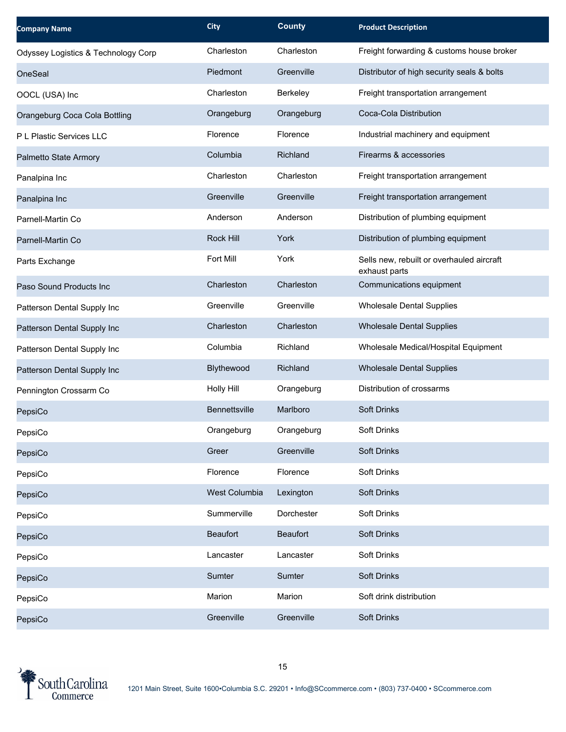| <b>Company Name</b>                 | <b>City</b>       | <b>County</b>   | <b>Product Description</b>                                 |
|-------------------------------------|-------------------|-----------------|------------------------------------------------------------|
| Odyssey Logistics & Technology Corp | Charleston        | Charleston      | Freight forwarding & customs house broker                  |
| <b>OneSeal</b>                      | Piedmont          | Greenville      | Distributor of high security seals & bolts                 |
| OOCL (USA) Inc                      | Charleston        | Berkeley        | Freight transportation arrangement                         |
| Orangeburg Coca Cola Bottling       | Orangeburg        | Orangeburg      | Coca-Cola Distribution                                     |
| P L Plastic Services LLC            | Florence          | Florence        | Industrial machinery and equipment                         |
| Palmetto State Armory               | Columbia          | Richland        | Firearms & accessories                                     |
| Panalpina Inc                       | Charleston        | Charleston      | Freight transportation arrangement                         |
| Panalpina Inc                       | Greenville        | Greenville      | Freight transportation arrangement                         |
| Parnell-Martin Co                   | Anderson          | Anderson        | Distribution of plumbing equipment                         |
| Parnell-Martin Co                   | Rock Hill         | York            | Distribution of plumbing equipment                         |
| Parts Exchange                      | Fort Mill         | York            | Sells new, rebuilt or overhauled aircraft<br>exhaust parts |
| Paso Sound Products Inc             | Charleston        | Charleston      | Communications equipment                                   |
| Patterson Dental Supply Inc         | Greenville        | Greenville      | <b>Wholesale Dental Supplies</b>                           |
| Patterson Dental Supply Inc         | Charleston        | Charleston      | <b>Wholesale Dental Supplies</b>                           |
| Patterson Dental Supply Inc         | Columbia          | Richland        | Wholesale Medical/Hospital Equipment                       |
| Patterson Dental Supply Inc         | Blythewood        | Richland        | <b>Wholesale Dental Supplies</b>                           |
| Pennington Crossarm Co              | <b>Holly Hill</b> | Orangeburg      | Distribution of crossarms                                  |
| PepsiCo                             | Bennettsville     | Marlboro        | <b>Soft Drinks</b>                                         |
| PepsiCo                             | Orangeburg        | Orangeburg      | <b>Soft Drinks</b>                                         |
| PepsiCo                             | Greer             | Greenville      | <b>Soft Drinks</b>                                         |
| PepsiCo                             | Florence          | Florence        | Soft Drinks                                                |
| PepsiCo                             | West Columbia     | Lexington       | Soft Drinks                                                |
| PepsiCo                             | Summerville       | Dorchester      | Soft Drinks                                                |
| PepsiCo                             | <b>Beaufort</b>   | <b>Beaufort</b> | <b>Soft Drinks</b>                                         |
| PepsiCo                             | Lancaster         | Lancaster       | Soft Drinks                                                |
| PepsiCo                             | Sumter            | Sumter          | Soft Drinks                                                |
| PepsiCo                             | Marion            | Marion          | Soft drink distribution                                    |
| PepsiCo                             | Greenville        | Greenville      | <b>Soft Drinks</b>                                         |

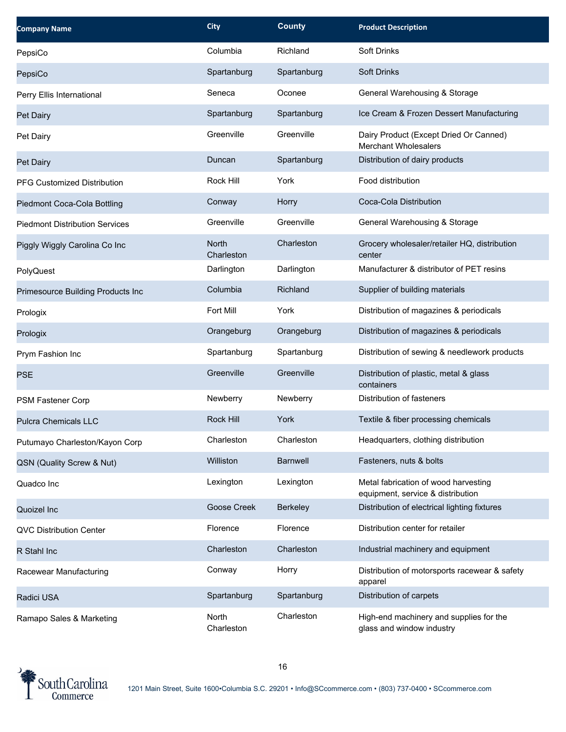| <b>Company Name</b>                   | <b>City</b>         | <b>County</b>   | <b>Product Description</b>                                                |
|---------------------------------------|---------------------|-----------------|---------------------------------------------------------------------------|
| PepsiCo                               | Columbia            | Richland        | Soft Drinks                                                               |
| PepsiCo                               | Spartanburg         | Spartanburg     | <b>Soft Drinks</b>                                                        |
| Perry Ellis International             | Seneca              | Oconee          | General Warehousing & Storage                                             |
| Pet Dairy                             | Spartanburg         | Spartanburg     | Ice Cream & Frozen Dessert Manufacturing                                  |
| Pet Dairy                             | Greenville          | Greenville      | Dairy Product (Except Dried Or Canned)<br><b>Merchant Wholesalers</b>     |
| Pet Dairy                             | Duncan              | Spartanburg     | Distribution of dairy products                                            |
| PFG Customized Distribution           | <b>Rock Hill</b>    | York            | Food distribution                                                         |
| Piedmont Coca-Cola Bottling           | Conway              | Horry           | Coca-Cola Distribution                                                    |
| <b>Piedmont Distribution Services</b> | Greenville          | Greenville      | General Warehousing & Storage                                             |
| Piggly Wiggly Carolina Co Inc         | North<br>Charleston | Charleston      | Grocery wholesaler/retailer HQ, distribution<br>center                    |
| PolyQuest                             | Darlington          | Darlington      | Manufacturer & distributor of PET resins                                  |
| Primesource Building Products Inc     | Columbia            | Richland        | Supplier of building materials                                            |
| Prologix                              | Fort Mill           | York            | Distribution of magazines & periodicals                                   |
| Prologix                              | Orangeburg          | Orangeburg      | Distribution of magazines & periodicals                                   |
| Prym Fashion Inc                      | Spartanburg         | Spartanburg     | Distribution of sewing & needlework products                              |
| <b>PSE</b>                            | Greenville          | Greenville      | Distribution of plastic, metal & glass<br>containers                      |
| PSM Fastener Corp                     | Newberry            | Newberry        | Distribution of fasteners                                                 |
| <b>Pulcra Chemicals LLC</b>           | <b>Rock Hill</b>    | York            | Textile & fiber processing chemicals                                      |
| Putumayo Charleston/Kayon Corp        | Charleston          | Charleston      | Headquarters, clothing distribution                                       |
| QSN (Quality Screw & Nut)             | Williston           | <b>Barnwell</b> | Fasteners, nuts & bolts                                                   |
| Quadco Inc                            | Lexington           | Lexington       | Metal fabrication of wood harvesting<br>equipment, service & distribution |
| Quoizel Inc                           | Goose Creek         | Berkeley        | Distribution of electrical lighting fixtures                              |
| <b>QVC Distribution Center</b>        | Florence            | Florence        | Distribution center for retailer                                          |
| R Stahl Inc                           | Charleston          | Charleston      | Industrial machinery and equipment                                        |
| Racewear Manufacturing                | Conway              | Horry           | Distribution of motorsports racewear & safety<br>apparel                  |
| Radici USA                            | Spartanburg         | Spartanburg     | Distribution of carpets                                                   |
| Ramapo Sales & Marketing              | North<br>Charleston | Charleston      | High-end machinery and supplies for the<br>glass and window industry      |

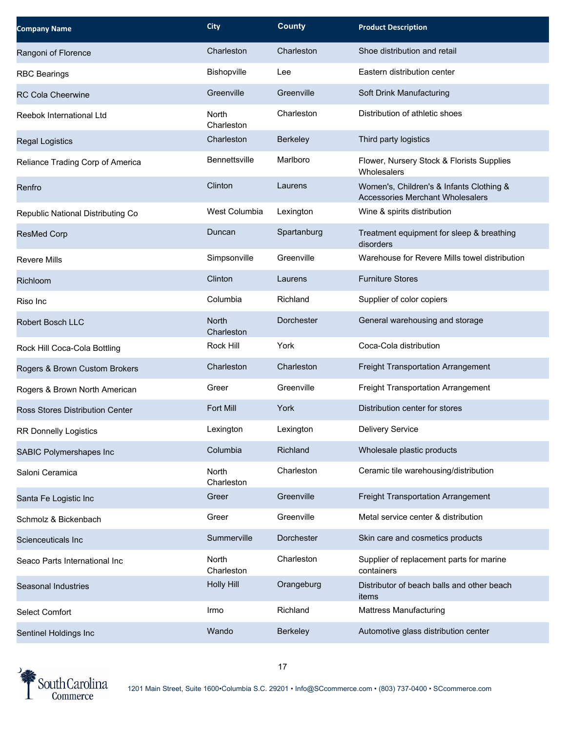| <b>Company Name</b>               | <b>City</b>          | <b>County</b>     | <b>Product Description</b>                                                          |
|-----------------------------------|----------------------|-------------------|-------------------------------------------------------------------------------------|
| Rangoni of Florence               | Charleston           | Charleston        | Shoe distribution and retail                                                        |
| <b>RBC Bearings</b>               | Bishopville          | Lee               | Eastern distribution center                                                         |
| <b>RC Cola Cheerwine</b>          | Greenville           | Greenville        | Soft Drink Manufacturing                                                            |
| Reebok International Ltd          | North<br>Charleston  | Charleston        | Distribution of athletic shoes                                                      |
| <b>Regal Logistics</b>            | Charleston           | Berkeley          | Third party logistics                                                               |
| Reliance Trading Corp of America  | <b>Bennettsville</b> | Marlboro          | Flower, Nursery Stock & Florists Supplies<br>Wholesalers                            |
| Renfro                            | Clinton              | Laurens           | Women's, Children's & Infants Clothing &<br><b>Accessories Merchant Wholesalers</b> |
| Republic National Distributing Co | West Columbia        | Lexington         | Wine & spirits distribution                                                         |
| <b>ResMed Corp</b>                | Duncan               | Spartanburg       | Treatment equipment for sleep & breathing<br>disorders                              |
| Revere Mills                      | Simpsonville         | Greenville        | Warehouse for Revere Mills towel distribution                                       |
| Richloom                          | Clinton              | Laurens           | <b>Furniture Stores</b>                                                             |
| Riso Inc                          | Columbia             | Richland          | Supplier of color copiers                                                           |
| Robert Bosch LLC                  | North<br>Charleston  | Dorchester        | General warehousing and storage                                                     |
| Rock Hill Coca-Cola Bottling      | Rock Hill            | York              | Coca-Cola distribution                                                              |
| Rogers & Brown Custom Brokers     | Charleston           | Charleston        | Freight Transportation Arrangement                                                  |
| Rogers & Brown North American     | Greer                | Greenville        | Freight Transportation Arrangement                                                  |
| Ross Stores Distribution Center   | Fort Mill            | York              | Distribution center for stores                                                      |
| <b>RR Donnelly Logistics</b>      | Lexington            | Lexington         | Delivery Service                                                                    |
| SABIC Polymershapes Inc           | Columbia             | Richland          | Wholesale plastic products                                                          |
| Saloni Ceramica                   | North<br>Charleston  | Charleston        | Ceramic tile warehousing/distribution                                               |
| Santa Fe Logistic Inc             | Greer                | Greenville        | Freight Transportation Arrangement                                                  |
| Schmolz & Bickenbach              | Greer                | Greenville        | Metal service center & distribution                                                 |
| Scienceuticals Inc                | Summerville          | <b>Dorchester</b> | Skin care and cosmetics products                                                    |
| Seaco Parts International Inc     | North<br>Charleston  | Charleston        | Supplier of replacement parts for marine<br>containers                              |
| Seasonal Industries               | <b>Holly Hill</b>    | Orangeburg        | Distributor of beach balls and other beach<br>items                                 |
| <b>Select Comfort</b>             | Irmo                 | Richland          | <b>Mattress Manufacturing</b>                                                       |
| Sentinel Holdings Inc             | Wando                | Berkeley          | Automotive glass distribution center                                                |

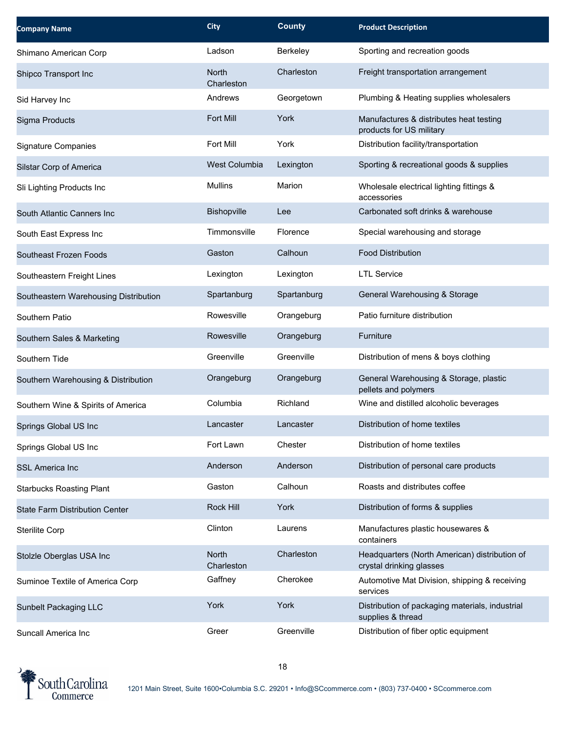| <b>Company Name</b>                   | <b>City</b>                | <b>County</b> | <b>Product Description</b>                                                |
|---------------------------------------|----------------------------|---------------|---------------------------------------------------------------------------|
| Shimano American Corp                 | Ladson                     | Berkeley      | Sporting and recreation goods                                             |
| Shipco Transport Inc                  | <b>North</b><br>Charleston | Charleston    | Freight transportation arrangement                                        |
| Sid Harvey Inc                        | Andrews                    | Georgetown    | Plumbing & Heating supplies wholesalers                                   |
| Sigma Products                        | Fort Mill                  | York          | Manufactures & distributes heat testing<br>products for US military       |
| Signature Companies                   | Fort Mill                  | York          | Distribution facility/transportation                                      |
| Silstar Corp of America               | <b>West Columbia</b>       | Lexington     | Sporting & recreational goods & supplies                                  |
| Sli Lighting Products Inc             | <b>Mullins</b>             | Marion        | Wholesale electrical lighting fittings &<br>accessories                   |
| South Atlantic Canners Inc            | Bishopville                | Lee           | Carbonated soft drinks & warehouse                                        |
| South East Express Inc                | Timmonsville               | Florence      | Special warehousing and storage                                           |
| Southeast Frozen Foods                | Gaston                     | Calhoun       | <b>Food Distribution</b>                                                  |
| Southeastern Freight Lines            | Lexington                  | Lexington     | <b>LTL Service</b>                                                        |
| Southeastern Warehousing Distribution | Spartanburg                | Spartanburg   | General Warehousing & Storage                                             |
| Southern Patio                        | Rowesville                 | Orangeburg    | Patio furniture distribution                                              |
| Southern Sales & Marketing            | Rowesville                 | Orangeburg    | Furniture                                                                 |
| Southern Tide                         | Greenville                 | Greenville    | Distribution of mens & boys clothing                                      |
| Southern Warehousing & Distribution   | Orangeburg                 | Orangeburg    | General Warehousing & Storage, plastic<br>pellets and polymers            |
| Southern Wine & Spirits of America    | Columbia                   | Richland      | Wine and distilled alcoholic beverages                                    |
| Springs Global US Inc                 | Lancaster                  | Lancaster     | Distribution of home textiles                                             |
| Springs Global US Inc                 | Fort Lawn                  | Chester       | Distribution of home textiles                                             |
| <b>SSL America Inc</b>                | Anderson                   | Anderson      | Distribution of personal care products                                    |
| <b>Starbucks Roasting Plant</b>       | Gaston                     | Calhoun       | Roasts and distributes coffee                                             |
| <b>State Farm Distribution Center</b> | Rock Hill                  | York          | Distribution of forms & supplies                                          |
| <b>Sterilite Corp</b>                 | Clinton                    | Laurens       | Manufactures plastic housewares &<br>containers                           |
| Stolzle Oberglas USA Inc              | <b>North</b><br>Charleston | Charleston    | Headquarters (North American) distribution of<br>crystal drinking glasses |
| Suminoe Textile of America Corp       | Gaffney                    | Cherokee      | Automotive Mat Division, shipping & receiving<br>services                 |
| Sunbelt Packaging LLC                 | York                       | York          | Distribution of packaging materials, industrial<br>supplies & thread      |
| Suncall America Inc                   | Greer                      | Greenville    | Distribution of fiber optic equipment                                     |

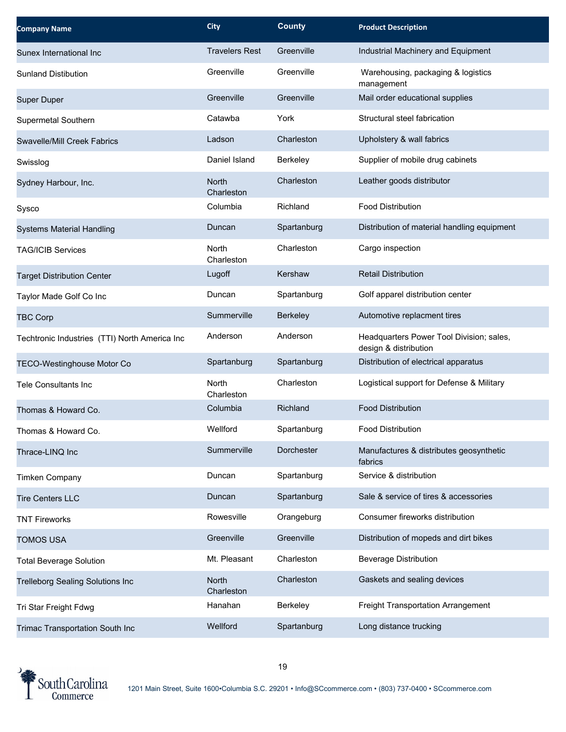| <b>Company Name</b>                           | <b>City</b>                | <b>County</b> | <b>Product Description</b>                                        |
|-----------------------------------------------|----------------------------|---------------|-------------------------------------------------------------------|
| Sunex International Inc                       | <b>Travelers Rest</b>      | Greenville    | Industrial Machinery and Equipment                                |
| <b>Sunland Distibution</b>                    | Greenville                 | Greenville    | Warehousing, packaging & logistics<br>management                  |
| <b>Super Duper</b>                            | Greenville                 | Greenville    | Mail order educational supplies                                   |
| Supermetal Southern                           | Catawba                    | York          | Structural steel fabrication                                      |
| Swavelle/Mill Creek Fabrics                   | Ladson                     | Charleston    | Upholstery & wall fabrics                                         |
| Swisslog                                      | Daniel Island              | Berkeley      | Supplier of mobile drug cabinets                                  |
| Sydney Harbour, Inc.                          | <b>North</b><br>Charleston | Charleston    | Leather goods distributor                                         |
| Sysco                                         | Columbia                   | Richland      | <b>Food Distribution</b>                                          |
| <b>Systems Material Handling</b>              | Duncan                     | Spartanburg   | Distribution of material handling equipment                       |
| <b>TAG/ICIB Services</b>                      | North<br>Charleston        | Charleston    | Cargo inspection                                                  |
| <b>Target Distribution Center</b>             | Lugoff                     | Kershaw       | <b>Retail Distribution</b>                                        |
| Taylor Made Golf Co Inc                       | Duncan                     | Spartanburg   | Golf apparel distribution center                                  |
| <b>TBC Corp</b>                               | Summerville                | Berkeley      | Automotive replacment tires                                       |
| Techtronic Industries (TTI) North America Inc | Anderson                   | Anderson      | Headquarters Power Tool Division; sales,<br>design & distribution |
| <b>TECO-Westinghouse Motor Co</b>             | Spartanburg                | Spartanburg   | Distribution of electrical apparatus                              |
| <b>Tele Consultants Inc</b>                   | <b>North</b><br>Charleston | Charleston    | Logistical support for Defense & Military                         |
| Thomas & Howard Co.                           | Columbia                   | Richland      | <b>Food Distribution</b>                                          |
| Thomas & Howard Co.                           | Wellford                   | Spartanburg   | <b>Food Distribution</b>                                          |
| Thrace-LINQ Inc                               | Summerville                | Dorchester    | Manufactures & distributes geosynthetic<br>fabrics                |
| <b>Timken Company</b>                         | Duncan                     | Spartanburg   | Service & distribution                                            |
| <b>Tire Centers LLC</b>                       | Duncan                     | Spartanburg   | Sale & service of tires & accessories                             |
| <b>TNT Fireworks</b>                          | Rowesville                 | Orangeburg    | Consumer fireworks distribution                                   |
| <b>TOMOS USA</b>                              | Greenville                 | Greenville    | Distribution of mopeds and dirt bikes                             |
| <b>Total Beverage Solution</b>                | Mt. Pleasant               | Charleston    | <b>Beverage Distribution</b>                                      |
| <b>Trelleborg Sealing Solutions Inc</b>       | North<br>Charleston        | Charleston    | Gaskets and sealing devices                                       |
| Tri Star Freight Fdwg                         | Hanahan                    | Berkeley      | Freight Transportation Arrangement                                |
| Trimac Transportation South Inc               | Wellford                   | Spartanburg   | Long distance trucking                                            |

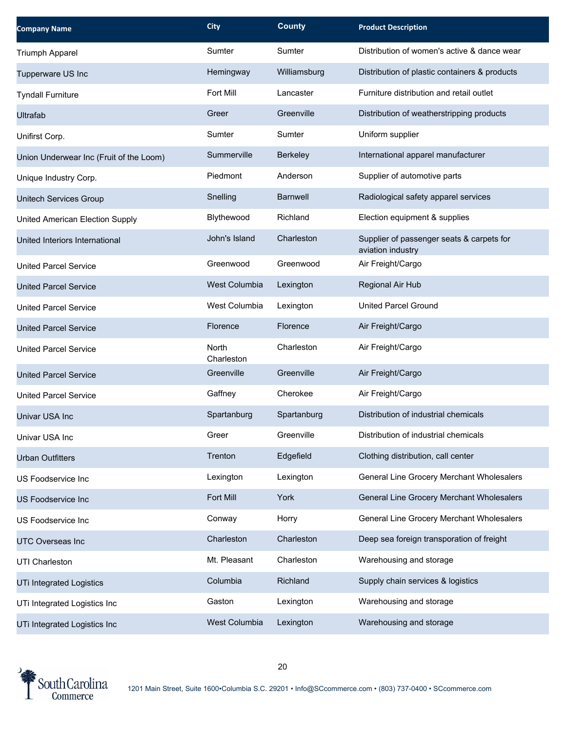| <b>Company Name</b>                     | <b>City</b>          | <b>County</b>   | <b>Product Description</b>                                     |
|-----------------------------------------|----------------------|-----------------|----------------------------------------------------------------|
| Triumph Apparel                         | Sumter               | Sumter          | Distribution of women's active & dance wear                    |
| Tupperware US Inc                       | Hemingway            | Williamsburg    | Distribution of plastic containers & products                  |
| <b>Tyndall Furniture</b>                | Fort Mill            | Lancaster       | Furniture distribution and retail outlet                       |
| Ultrafab                                | Greer                | Greenville      | Distribution of weatherstripping products                      |
| Unifirst Corp.                          | Sumter               | Sumter          | Uniform supplier                                               |
| Union Underwear Inc (Fruit of the Loom) | Summerville          | Berkeley        | International apparel manufacturer                             |
| Unique Industry Corp.                   | Piedmont             | Anderson        | Supplier of automotive parts                                   |
| Unitech Services Group                  | Snelling             | <b>Barnwell</b> | Radiological safety apparel services                           |
| United American Election Supply         | Blythewood           | Richland        | Election equipment & supplies                                  |
| United Interiors International          | John's Island        | Charleston      | Supplier of passenger seats & carpets for<br>aviation industry |
| <b>United Parcel Service</b>            | Greenwood            | Greenwood       | Air Freight/Cargo                                              |
| <b>United Parcel Service</b>            | <b>West Columbia</b> | Lexington       | Regional Air Hub                                               |
| <b>United Parcel Service</b>            | West Columbia        | Lexington       | <b>United Parcel Ground</b>                                    |
| <b>United Parcel Service</b>            | Florence             | Florence        | Air Freight/Cargo                                              |
| <b>United Parcel Service</b>            | North<br>Charleston  | Charleston      | Air Freight/Cargo                                              |
| <b>United Parcel Service</b>            | Greenville           | Greenville      | Air Freight/Cargo                                              |
| <b>United Parcel Service</b>            | Gaffney              | Cherokee        | Air Freight/Cargo                                              |
| Univar USA Inc                          | Spartanburg          | Spartanburg     | Distribution of industrial chemicals                           |
| Univar USA Inc                          | Greer                | Greenville      | Distribution of industrial chemicals                           |
| <b>Urban Outfitters</b>                 | Trenton              | Edgefield       | Clothing distribution, call center                             |
| US Foodservice Inc                      | Lexington            | Lexington       | General Line Grocery Merchant Wholesalers                      |
| US Foodservice Inc                      | Fort Mill            | York            | General Line Grocery Merchant Wholesalers                      |
| US Foodservice Inc                      | Conway               | Horry           | General Line Grocery Merchant Wholesalers                      |
| <b>UTC Overseas Inc</b>                 | Charleston           | Charleston      | Deep sea foreign transporation of freight                      |
| UTI Charleston                          | Mt. Pleasant         | Charleston      | Warehousing and storage                                        |
| <b>UTi Integrated Logistics</b>         | Columbia             | Richland        | Supply chain services & logistics                              |
| UTi Integrated Logistics Inc            | Gaston               | Lexington       | Warehousing and storage                                        |
| UTi Integrated Logistics Inc            | West Columbia        | Lexington       | Warehousing and storage                                        |

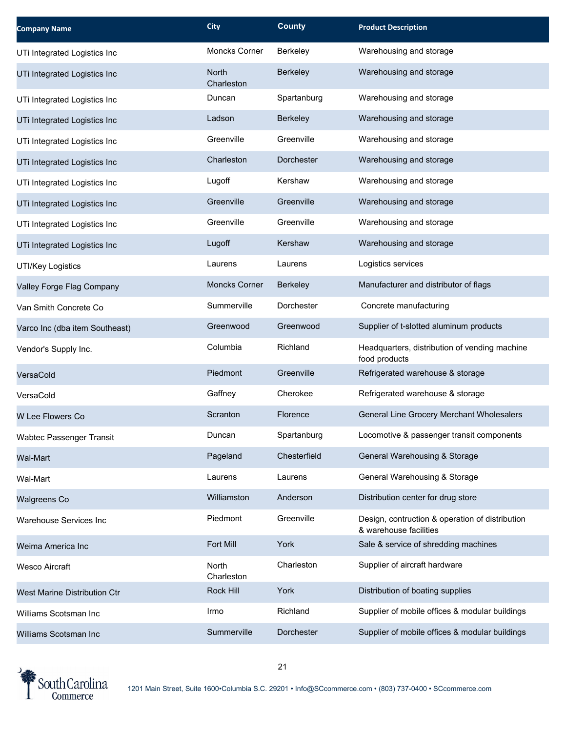| <b>Company Name</b>             | <b>City</b>                | <b>County</b>   | <b>Product Description</b>                                                |
|---------------------------------|----------------------------|-----------------|---------------------------------------------------------------------------|
| UTi Integrated Logistics Inc    | Moncks Corner              | Berkeley        | Warehousing and storage                                                   |
| UTi Integrated Logistics Inc    | <b>North</b><br>Charleston | <b>Berkeley</b> | Warehousing and storage                                                   |
| UTi Integrated Logistics Inc    | Duncan                     | Spartanburg     | Warehousing and storage                                                   |
| UTi Integrated Logistics Inc    | Ladson                     | <b>Berkeley</b> | Warehousing and storage                                                   |
| UTi Integrated Logistics Inc    | Greenville                 | Greenville      | Warehousing and storage                                                   |
| UTi Integrated Logistics Inc    | Charleston                 | Dorchester      | Warehousing and storage                                                   |
| UTi Integrated Logistics Inc    | Lugoff                     | Kershaw         | Warehousing and storage                                                   |
| UTi Integrated Logistics Inc    | Greenville                 | Greenville      | Warehousing and storage                                                   |
| UTi Integrated Logistics Inc    | Greenville                 | Greenville      | Warehousing and storage                                                   |
| UTi Integrated Logistics Inc    | Lugoff                     | Kershaw         | Warehousing and storage                                                   |
| UTI/Key Logistics               | Laurens                    | Laurens         | Logistics services                                                        |
| Valley Forge Flag Company       | <b>Moncks Corner</b>       | Berkeley        | Manufacturer and distributor of flags                                     |
| Van Smith Concrete Co           | Summerville                | Dorchester      | Concrete manufacturing                                                    |
| Varco Inc (dba item Southeast)  | Greenwood                  | Greenwood       | Supplier of t-slotted aluminum products                                   |
| Vendor's Supply Inc.            | Columbia                   | Richland        | Headquarters, distribution of vending machine<br>food products            |
| VersaCold                       | Piedmont                   | Greenville      | Refrigerated warehouse & storage                                          |
| VersaCold                       | Gaffney                    | Cherokee        | Refrigerated warehouse & storage                                          |
| W Lee Flowers Co                | Scranton                   | Florence        | General Line Grocery Merchant Wholesalers                                 |
| <b>Wabtec Passenger Transit</b> | Duncan                     | Spartanburg     | Locomotive & passenger transit components                                 |
| <b>Wal-Mart</b>                 | Pageland                   | Chesterfield    | General Warehousing & Storage                                             |
| Wal-Mart                        | Laurens                    | Laurens         | General Warehousing & Storage                                             |
| Walgreens Co                    | Williamston                | Anderson        | Distribution center for drug store                                        |
| Warehouse Services Inc          | Piedmont                   | Greenville      | Design, contruction & operation of distribution<br>& warehouse facilities |
| Weima America Inc               | Fort Mill                  | York            | Sale & service of shredding machines                                      |
| <b>Wesco Aircraft</b>           | North<br>Charleston        | Charleston      | Supplier of aircraft hardware                                             |
| West Marine Distribution Ctr    | Rock Hill                  | York            | Distribution of boating supplies                                          |
| Williams Scotsman Inc           | Irmo                       | Richland        | Supplier of mobile offices & modular buildings                            |
| Williams Scotsman Inc           | Summerville                | Dorchester      | Supplier of mobile offices & modular buildings                            |